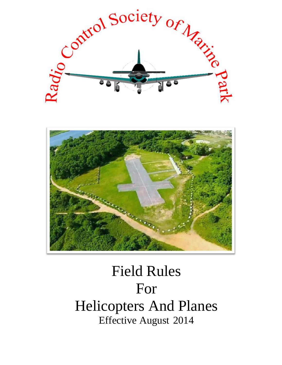



# Field Rules For Helicopters And Planes Effective August 2014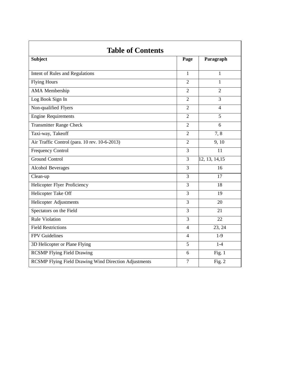| <b>Subject</b>                                               | Page           | Paragraph      |
|--------------------------------------------------------------|----------------|----------------|
| Intent of Rules and Regulations                              | $\mathbf{1}$   | $\mathbf{1}$   |
| <b>Flying Hours</b>                                          | $\overline{2}$ | 1              |
| AMA Membership                                               | $\overline{2}$ | $\overline{2}$ |
| Log Book Sign In                                             | $\overline{2}$ | 3              |
| Non-qualified Flyers                                         | $\overline{2}$ | $\overline{4}$ |
| <b>Engine Requirements</b>                                   | $\overline{2}$ | 5              |
| <b>Transmitter Range Check</b>                               | $\overline{2}$ | 6              |
| Taxi-way, Takeoff                                            | $\overline{2}$ | 7,8            |
| Air Traffic Control (para. 10 rev. 10-6-2013)                | $\overline{2}$ | 9, 10          |
| <b>Frequency Control</b>                                     | 3              | 11             |
| <b>Ground Control</b>                                        | $\overline{3}$ | 12, 13, 14, 15 |
| Alcohol Beverages                                            | 3              | 16             |
| Clean-up                                                     | 3              | 17             |
| Helicopter Flyer Proficiency                                 | 3              | 18             |
| <b>Helicopter Take Off</b>                                   | $\overline{3}$ | 19             |
| Helicopter Adjustments                                       | 3              | 20             |
| Spectators on the Field                                      | 3              | 21             |
| <b>Rule Violation</b>                                        | $\overline{3}$ | 22             |
| <b>Field Restrictions</b>                                    | 4              | 23, 24         |
| <b>FPV</b> Guidelines                                        | 4              | $1-9$          |
| 3D Helicopter or Plane Flying                                | 5              | $1-4$          |
| <b>RCSMP</b> Flying Field Drawing                            | 6              | Fig. $1$       |
| <b>RCSMP Flying Field Drawing Wind Direction Adjustments</b> | $\tau$         | Fig. 2         |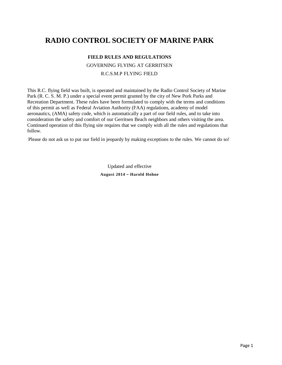## **RADIO CONTROL SOCIETY OF MARINE PARK**

## **FIELD RULES AND REGULATIONS**

GOVERNING FLYING AT GERRITSEN R.C.S.M.P FLYING FIELD

This R.C. flying field was built, is operated and maintained by the Radio Control Society of Marine Park (R. C. S. M. P.) under a special event permit granted by the city of New Pork Parks and Recreation Department. These rules have been formulated to comply with the terms and conditions of this permit as well as Federal Aviation Authority (FAA) regulations, academy of model aeronautics, (AMA) safety code, which is automatically a part of our field rules, and to take into consideration the safety and comfort of our Gerritsen Beach neighbors and others visiting the area. Continued operation of this flying site requires that we comply with all the rules and regulations that follow.

Please do not ask us to put our field in jeopardy by making exceptions to the rules. We cannot do so!

Updated and effective **August 2014 – Harold Hohne**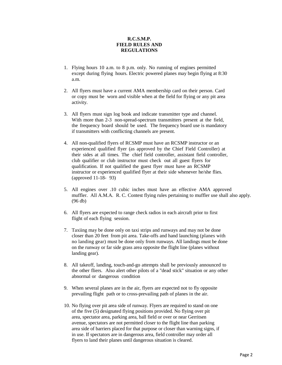#### **R.C.S.M.P. FIELD RULES AND REGULATIONS**

- 1. Flying hours 10 a.m. to 8 p.m. only. No running of engines permitted except during flying hours. Electric powered planes may begin flying at 8:30 a.m.
- 2. All flyers must have a current AMA membership card on their person. Card or copy must be worn and visible when at the field for flying or any pit area activity.
- 3. All flyers must sign log book and indicate transmitter type and channel. With more than 2-3 non-spread-spectrum transmitters present at the field, the frequency board should be used. The frequency board use is mandatory if transmitters with conflicting channels are present.
- 4. All non-qualified flyers of RCSMP must have an RCSMP instructor or an experienced qualified flyer (as approved by the Chief Field Controller) at their sides at all times. The chief field controller, assistant field controller, club qualifier or club instructor must check out all guest flyers for qualification. If not qualified the guest flyer must have an RCSMP instructor or experienced qualified flyer at their side whenever he/she flies. (approved 11-18- 93)
- 5. All engines over .10 cubic inches must have an effective AMA approved muffler. All A.M.A. R. C. Contest flying rules pertaining to muffler use shall also apply. (96 db)
- 6. All flyers are expected to range check radios in each aircraft prior to first flight of each flying session.
- 7. Taxiing may be done only on taxi strips and runways and may not be done closer than 20 feet from pit area. Take-offs and hand launching (planes with no landing gear) must be done only from runways. All landings must be done on the runway or far side grass area opposite the flight line (planes without landing gear).
- 8. All takeoff, landing, touch-and-go attempts shall be previously announced to the other fliers. Also alert other pilots of a "dead stick" situation or any other abnormal or dangerous condition
- 9. When several planes are in the air, flyers are expected not to fly opposite prevailing flight path or to cross-prevailing path of planes in the air.
- 10. No flying over pit area side of runway. Flyers are required to stand on one of the five (5) designated flying positions provided. No flying over pit area, spectator area, parking area, ball field or over or near Gerritsen avenue, spectators are not permitted closer to the flight line than parking area side of barriers placed for that purpose or closer than warning signs, if in use. If spectators are in dangerous area, field controller may order all flyers to land their planes until dangerous situation is cleared.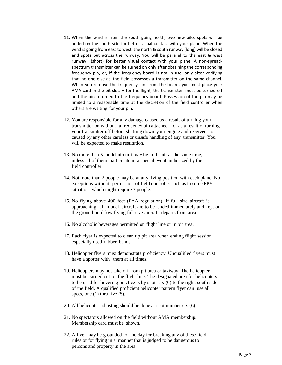- 11. When the wind is from the south going north, two new pilot spots will be added on the south side for better visual contact with your plane. When the wind is going from east to west, the north & south runway (long) will be closed and spots put across the runway. You will be parallel to the east & west runway (short) for better visual contact with your plane. A non-spreadspectrum transmitter can be turned on only after obtaining the corresponding frequency pin, or, if the frequency board is not in use, only after verifying that no one else at the field possesses a transmitter on the same channel. When you remove the frequency pin from the board, you must place your AMA card in the pit slot. After the flight, the transmitter must be turned off and the pin returned to the frequency board. Possession of the pin may be limited to a reasonable time at the discretion of the field controller when others are waiting for your pin.
- 12. You are responsible for any damage caused as a result of turning your transmitter on without a frequency pin attached – or as a result of turning your transmitter off before shutting down your engine and receiver – or caused by any other careless or unsafe handling of any transmitter. You will be expected to make restitution.
- 13. No more than 5 model aircraft may be in the air at the same time, unless all of them participate in a special event authorized by the field controller.
- 14. Not more than 2 people may be at any flying position with each plane. No exceptions without permission of field controller such as in some FPV situations which might require 3 people.
- 15. No flying above 400 feet (FAA regulation). If full size aircraft is approaching, all model aircraft are to be landed immediately and kept on the ground until low flying full size aircraft departs from area.
- 16. No alcoholic beverages permitted on flight line or in pit area.
- 17. Each flyer is expected to clean up pit area when ending flight session, especially used rubber bands.
- 18. Helicopter flyers must demonstrate proficiency. Unqualified flyers must have a spotter with them at all times.
- 19. Helicopters may not take off from pit area or taxiway. The helicopter must be carried out to the flight line. The designated area for helicopters to be used for hovering practice is by spot six (6) to the right, south side of the field. A qualified proficient helicopter pattern flyer can use all spots, one (1) thru five (5).
- 20. All helicopter adjusting should be done at spot number six (6).
- 21. No spectators allowed on the field without AMA membership. Membership card must be shown.
- 22. A flyer may be grounded for the day for breaking any of these field rules or for flying in a manner that is judged to be dangerous to persons and property in the area.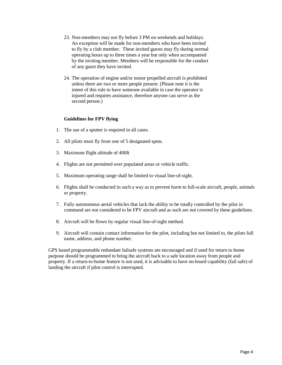- 23. Non-members may not fly before 3 PM on weekends and holidays. An exception will be made for non-members who have been invited to fly by a club member. These invited guests may fly during normal operating hours up to three times a year but only when accompanied by the inviting member. Members will be responsible for the conduct of any guest they have invited.
- 24. The operation of engine and/or motor propelled aircraft is prohibited unless there are two or more people present. (Please note it is the intent of this rule to have someone available in case the operator is injured and requires assistance, therefore anyone can serve as the second person.)

#### **Guidelines for FPV flying**

- 1. The use of a spotter is required in all cases.
- 2. All pilots must fly from one of 5 designated spots.
- 3. Maximum flight altitude of 400ft
- 4. Flights are not permitted over populated areas or vehicle traffic.
- 5. Maximum operating range shall be limited to visual line-of-sight.
- 6. Flights shall be conducted in such a way as to prevent harm to full-scale aircraft, people, animals or property.
- 7. Fully autonomous aerial vehicles that lack the ability to be totally controlled by the pilot in command are not considered to be FPV aircraft and as such are not covered by these guidelines.
- 8. Aircraft will be flown by regular visual line-of-sight method.
- 9. Aircraft will contain contact information for the pilot, including but not limited to, the pilots full name, address, and phone number.

GPS based programmable redundant failsafe systems are encouraged and if used for return to home purpose should be programmed to bring the aircraft back to a safe location away from people and property. If a return-to-home feature is not used, it is advisable to have on-board capability (fail safe) of landing the aircraft if pilot control is interrupted.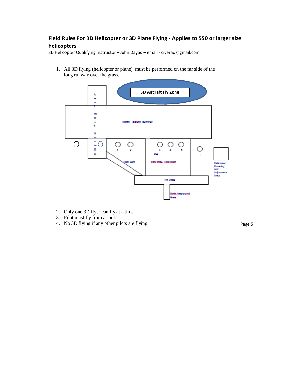### **Field Rules For 3D Helicopter or 3D Plane Flying - Applies to 550 or larger size helicopters**

3D Helicopter Qualifying Instructor – John Dayao – email - civerad@gmail.com

1. All 3D flying (helicopter or plane) must be performed on the far side of the long runway over the grass.



- 2. Only one 3D flyer can fly at a time.
- 3. Pilot must fly from a spot.
- 4. No 3D flying if any other pilots are flying.

Page 5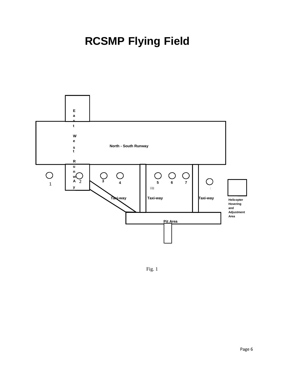## **RCSMP Flying Field**



Fig. 1